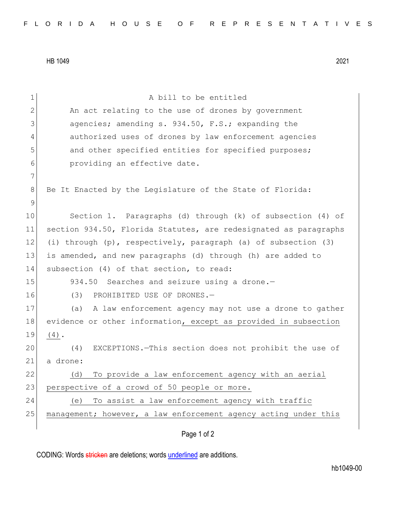HB 1049 2021

| $\mathbf 1$ | A bill to be entitled                                            |
|-------------|------------------------------------------------------------------|
| 2           | An act relating to the use of drones by government               |
| 3           | agencies; amending s. 934.50, F.S.; expanding the                |
| 4           | authorized uses of drones by law enforcement agencies            |
| 5           | and other specified entities for specified purposes;             |
| 6           | providing an effective date.                                     |
| 7           |                                                                  |
| 8           | Be It Enacted by the Legislature of the State of Florida:        |
| $\mathsf 9$ |                                                                  |
| 10          | Section 1. Paragraphs (d) through (k) of subsection (4) of       |
| 11          | section 934.50, Florida Statutes, are redesignated as paragraphs |
| 12          | (i) through (p), respectively, paragraph (a) of subsection (3)   |
| 13          | is amended, and new paragraphs (d) through (h) are added to      |
| 14          | subsection (4) of that section, to read:                         |
| 15          | 934.50 Searches and seizure using a drone.-                      |
| 16          | PROHIBITED USE OF DRONES.-<br>(3)                                |
| 17          | (a)<br>A law enforcement agency may not use a drone to gather    |
| 18          | evidence or other information, except as provided in subsection  |
| 19          | $(4)$ .                                                          |
| 20          | EXCEPTIONS. - This section does not prohibit the use of<br>(4)   |
| 21          | a drone:                                                         |
| 22          | To provide a law enforcement agency with an aerial<br>(d)        |
| 23          | perspective of a crowd of 50 people or more.                     |
| 24          | To assist a law enforcement agency with traffic<br>(e)           |
| 25          | management; however, a law enforcement agency acting under this  |
|             | Page 1 of 2                                                      |
|             |                                                                  |

CODING: Words stricken are deletions; words underlined are additions.